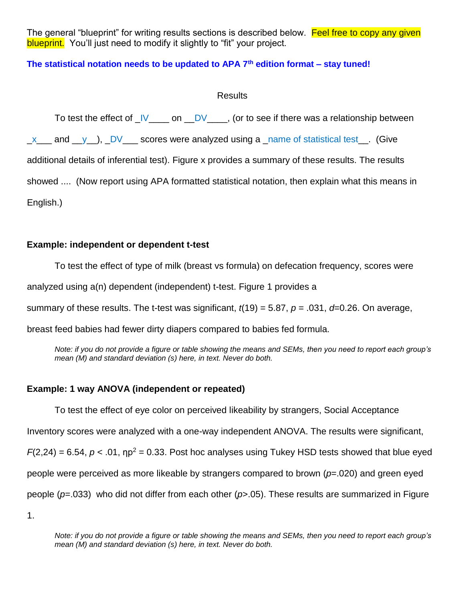The general "blueprint" for writing results sections is described below. Feel free to copy any given blueprint. You'll just need to modify it slightly to "fit" your project.

# **The statistical notation needs to be updated to APA 7th edition format – stay tuned!**

## Results

|           | To test the effect of $\sqrt{\frac{V}{V}}$ on $\sqrt{\frac{DV}{V}}$ , (or to see if there was a relationship between |  |  |
|-----------|----------------------------------------------------------------------------------------------------------------------|--|--|
|           | $x$ and $y$ , DV scores were analyzed using a name of statistical test. (Give                                        |  |  |
|           | additional details of inferential test). Figure x provides a summary of these results. The results                   |  |  |
|           | showed  (Now report using APA formatted statistical notation, then explain what this means in                        |  |  |
| English.) |                                                                                                                      |  |  |

# **Example: independent or dependent t-test**

To test the effect of type of milk (breast vs formula) on defecation frequency, scores were

analyzed using a(n) dependent (independent) t-test. Figure 1 provides a

summary of these results. The t-test was significant, *t*(19) = 5.87, *p* = .031, *d*=0.26. On average,

breast feed babies had fewer dirty diapers compared to babies fed formula.

*Note: if you do not provide a figure or table showing the means and SEMs, then you need to report each group's mean (M) and standard deviation (s) here, in text. Never do both.*

# **Example: 1 way ANOVA (independent or repeated)**

To test the effect of eye color on perceived likeability by strangers, Social Acceptance Inventory scores were analyzed with a one-way independent ANOVA. The results were significant,  $F(2,24) = 6.54$ ,  $p < .01$ ,  $np^2 = 0.33$ . Post hoc analyses using Tukey HSD tests showed that blue eyed people were perceived as more likeable by strangers compared to brown (*p*=.020) and green eyed people (*p*=.033) who did not differ from each other (*p*>.05). These results are summarized in Figure

1.

*Note: if you do not provide a figure or table showing the means and SEMs, then you need to report each group's mean (M) and standard deviation (s) here, in text. Never do both.*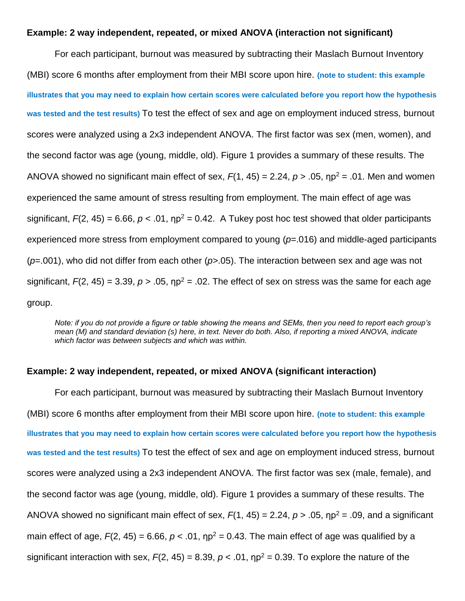#### **Example: 2 way independent, repeated, or mixed ANOVA (interaction not significant)**

For each participant, burnout was measured by subtracting their Maslach Burnout Inventory (MBI) score 6 months after employment from their MBI score upon hire. **(note to student: this example illustrates that you may need to explain how certain scores were calculated before you report how the hypothesis was tested and the test results)** To test the effect of sex and age on employment induced stress, burnout scores were analyzed using a 2x3 independent ANOVA. The first factor was sex (men, women), and the second factor was age (young, middle, old). Figure 1 provides a summary of these results. The ANOVA showed no significant main effect of sex,  $F(1, 45) = 2.24$ ,  $p > .05$ ,  $np^2 = .01$ . Men and women experienced the same amount of stress resulting from employment. The main effect of age was significant,  $F(2, 45) = 6.66$ ,  $p < .01$ ,  $np^2 = 0.42$ . A Tukey post hoc test showed that older participants experienced more stress from employment compared to young (*p*=.016) and middle-aged participants (*p*=.001), who did not differ from each other (*p>*.05). The interaction between sex and age was not significant,  $F(2, 45) = 3.39$ ,  $p > .05$ ,  $np^2 = .02$ . The effect of sex on stress was the same for each age group.

*Note: if you do not provide a figure or table showing the means and SEMs, then you need to report each group's mean (M) and standard deviation (s) here, in text. Never do both. Also, if reporting a mixed ANOVA, indicate which factor was between subjects and which was within.*

## **Example: 2 way independent, repeated, or mixed ANOVA (significant interaction)**

For each participant, burnout was measured by subtracting their Maslach Burnout Inventory (MBI) score 6 months after employment from their MBI score upon hire. **(note to student: this example illustrates that you may need to explain how certain scores were calculated before you report how the hypothesis was tested and the test results)** To test the effect of sex and age on employment induced stress, burnout scores were analyzed using a 2x3 independent ANOVA. The first factor was sex (male, female), and the second factor was age (young, middle, old). Figure 1 provides a summary of these results. The ANOVA showed no significant main effect of sex,  $F(1, 45) = 2.24$ ,  $p > .05$ ,  $np^2 = .09$ , and a significant main effect of age,  $F(2, 45) = 6.66$ ,  $p < .01$ ,  $np^2 = 0.43$ . The main effect of age was qualified by a significant interaction with sex,  $F(2, 45) = 8.39$ ,  $p < .01$ ,  $np^2 = 0.39$ . To explore the nature of the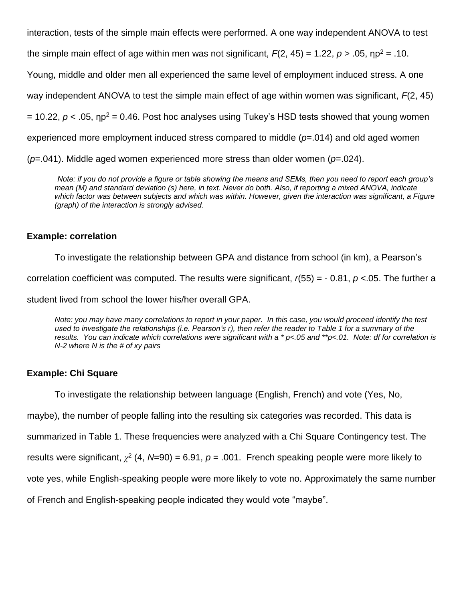interaction, tests of the simple main effects were performed. A one way independent ANOVA to test the simple main effect of age within men was not significant,  $F(2, 45) = 1.22$ ,  $p > .05$ ,  $np^2 = .10$ . Young, middle and older men all experienced the same level of employment induced stress. A one way independent ANOVA to test the simple main effect of age within women was significant, *F*(2, 45)  $= 10.22$ ,  $p < .05$ ,  $np^2 = 0.46$ . Post hoc analyses using Tukey's HSD tests showed that young women experienced more employment induced stress compared to middle (*p*=.014) and old aged women (*p*=.041). Middle aged women experienced more stress than older women (*p*=.024).

*Note: if you do not provide a figure or table showing the means and SEMs, then you need to report each group's mean (M) and standard deviation (s) here, in text. Never do both. Also, if reporting a mixed ANOVA, indicate which factor was between subjects and which was within. However, given the interaction was significant, a Figure (graph) of the interaction is strongly advised.*

## **Example: correlation**

To investigate the relationship between GPA and distance from school (in km), a Pearson's correlation coefficient was computed. The results were significant, *r*(55) = - 0.81, *p* <.05. The further a student lived from school the lower his/her overall GPA.

*Note: you may have many correlations to report in your paper. In this case, you would proceed identify the test used to investigate the relationships (i.e. Pearson's r), then refer the reader to Table 1 for a summary of the results. You can indicate which correlations were significant with a \* p<.05 and \*\*p<.01. Note: df for correlation is N-2 where N is the # of xy pairs*

# **Example: Chi Square**

To investigate the relationship between language (English, French) and vote (Yes, No,

maybe), the number of people falling into the resulting six categories was recorded. This data is

summarized in Table 1. These frequencies were analyzed with a Chi Square Contingency test. The

results were significant,  $\chi^2$  (4, N=90) = 6.91,  $p = .001$ . French speaking people were more likely to

vote yes, while English-speaking people were more likely to vote no. Approximately the same number

of French and English-speaking people indicated they would vote "maybe".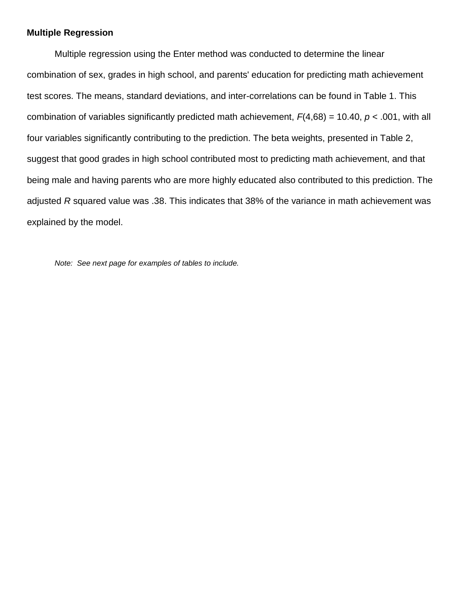### **Multiple Regression**

Multiple regression using the Enter method was conducted to determine the linear combination of sex, grades in high school, and parents' education for predicting math achievement test scores. The means, standard deviations, and inter-correlations can be found in Table 1. This combination of variables significantly predicted math achievement,  $F(4,68) = 10.40$ ,  $p < .001$ , with all four variables significantly contributing to the prediction. The beta weights, presented in Table 2, suggest that good grades in high school contributed most to predicting math achievement, and that being male and having parents who are more highly educated also contributed to this prediction. The adjusted *R* squared value was .38. This indicates that 38% of the variance in math achievement was explained by the model.

*Note: See next page for examples of tables to include.*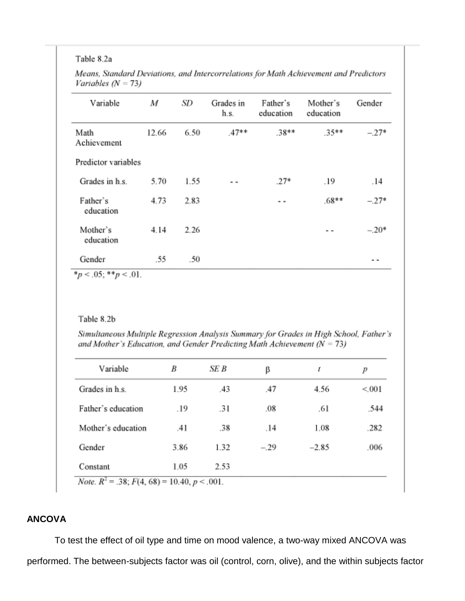#### Table 8.2a

| Variable              | M     | SD   | Grades in<br>h.s. | Father's<br>education | Mother's<br>education | Gender        |
|-----------------------|-------|------|-------------------|-----------------------|-----------------------|---------------|
| Math<br>Achievement   | 12.66 | 6.50 | $.47**$           | $.38**$               | $.35**$               | $-.27*$       |
| Predictor variables   |       |      |                   |                       |                       |               |
| Grades in h.s.        | 5.70  | 1.55 | . .               | $.27*$                | .19                   | .14           |
| Father's<br>education | 4.73  | 2.83 |                   | . .                   | $.68**$               | $-.27*$       |
| Mother's<br>education | 4.14  | 2.26 |                   |                       | - -                   | $-.20*$       |
| Gender                | .55   | .50  |                   |                       |                       | $\sim$ $\sim$ |

Means, Standard Deviations, and Intercorrelations for Math Achievement and Predictors Variables  $(N = 73)$ 

 $\ldots v$ <sub>2</sub>,  $\ldots p$  $101$ 

### Table 8.2b

Simultaneous Multiple Regression Analysis Summary for Grades in High School, Father's and Mother's Education, and Gender Predicting Math Achievement ( $N = 73$ )

| Variable           | B    | SE B | β      | t       | р     |
|--------------------|------|------|--------|---------|-------|
| Grades in h.s.     | 1.95 | .43  | .47    | 4.56    | < 001 |
| Father's education | .19  | .31  | .08    | .61     | .544  |
| Mother's education | .41  | .38  | .14    | 1.08    | .282  |
| Gender             | 3.86 | 1.32 | $-.29$ | $-2.85$ | .006  |
| Constant           | 1.05 | 2.53 |        |         |       |

**ANCOVA** 

To test the effect of oil type and time on mood valence, a two-way mixed ANCOVA was performed. The between-subjects factor was oil (control, corn, olive), and the within subjects factor